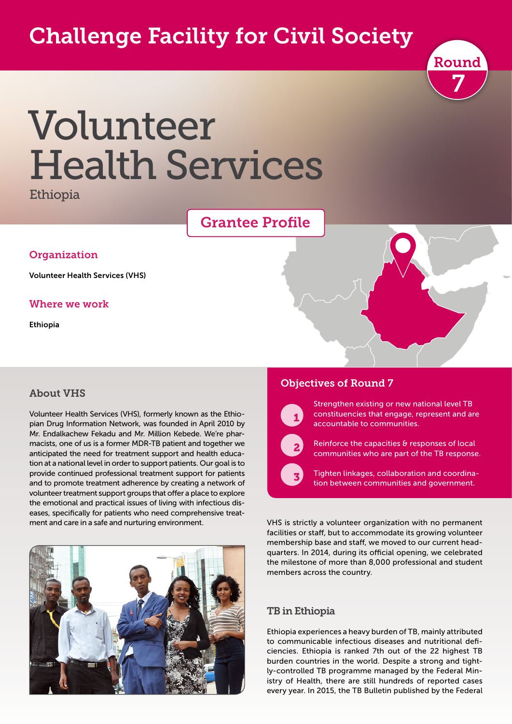# Challenge Facility for Civil Society



# Volunteer Health Services

Ethiopia

## Grantee Profile

#### **Organization**

Volunteer Health Services (VHS)

#### Where we work

Ethiopia

#### About VHS

Volunteer Health Services (VHS), formerly known as the Ethiopian Drug Information Network, was founded in April 2010 by Mr. Endalkachew Fekadu and Mr. Million Kebede. We're pharmacists, one of us is a former MDR-TB patient and together we anticipated the need for treatment support and health education at a national level in order to support patients. Our goal is to provide continued professional treatment support for patients and to promote treatment adherence by creating a network of volunteer treatment support groups that offer a place to explore the emotional and practical issues of living with infectious diseases, specifically for patients who need comprehensive treatment and care in a safe and nurturing environment.



#### Objectives of Round 7



 $\overline{\phantom{a}}$  2

 $\sqrt{3}$ 

Strengthen existing or new national level TB constituencies that engage, represent and are accountable to communities.

Reinforce the capacities & responses of local communities who are part of the TB response.

Tighten linkages, collaboration and coordination between communities and government.

VHS is strictly a volunteer organization with no permanent facilities or staff, but to accommodate its growing volunteer membership base and staff, we moved to our current headquarters. In 2014, during its official opening, we celebrated the milestone of more than 8,000 professional and student members across the country.

#### TB in Ethiopia

Ethiopia experiences a heavy burden of TB, mainly attributed to communicable infectious diseases and nutritional deficiencies. Ethiopia is ranked 7th out of the 22 highest TB burden countries in the world. Despite a strong and tightly-controlled TB programme managed by the Federal Ministry of Health, there are still hundreds of reported cases every year. In 2015, the TB Bulletin published by the Federal